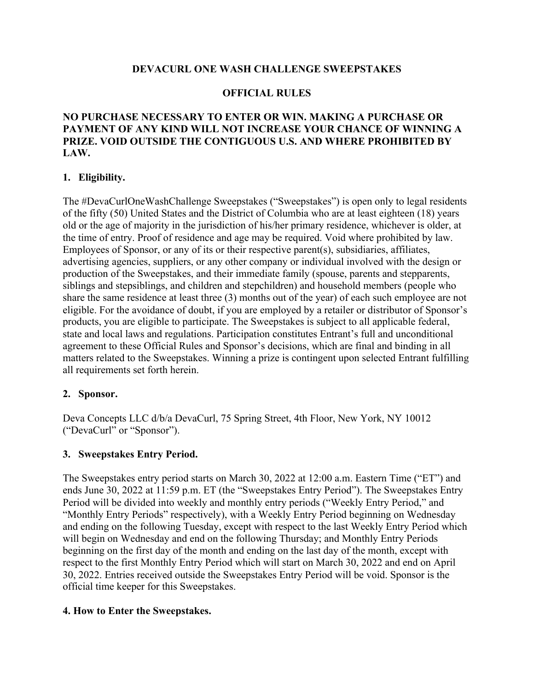## **DEVACURL ONE WASH CHALLENGE SWEEPSTAKES**

### **OFFICIAL RULES**

## **NO PURCHASE NECESSARY TO ENTER OR WIN. MAKING A PURCHASE OR PAYMENT OF ANY KIND WILL NOT INCREASE YOUR CHANCE OF WINNING A PRIZE. VOID OUTSIDE THE CONTIGUOUS U.S. AND WHERE PROHIBITED BY LAW.**

## **1. Eligibility.**

The #DevaCurlOneWashChallenge Sweepstakes ("Sweepstakes") is open only to legal residents of the fifty (50) United States and the District of Columbia who are at least eighteen (18) years old or the age of majority in the jurisdiction of his/her primary residence, whichever is older, at the time of entry. Proof of residence and age may be required. Void where prohibited by law. Employees of Sponsor, or any of its or their respective parent(s), subsidiaries, affiliates, advertising agencies, suppliers, or any other company or individual involved with the design or production of the Sweepstakes, and their immediate family (spouse, parents and stepparents, siblings and stepsiblings, and children and stepchildren) and household members (people who share the same residence at least three (3) months out of the year) of each such employee are not eligible. For the avoidance of doubt, if you are employed by a retailer or distributor of Sponsor's products, you are eligible to participate. The Sweepstakes is subject to all applicable federal, state and local laws and regulations. Participation constitutes Entrant's full and unconditional agreement to these Official Rules and Sponsor's decisions, which are final and binding in all matters related to the Sweepstakes. Winning a prize is contingent upon selected Entrant fulfilling all requirements set forth herein.

### **2. Sponsor.**

Deva Concepts LLC d/b/a DevaCurl, 75 Spring Street, 4th Floor, New York, NY 10012 ("DevaCurl" or "Sponsor").

### **3. Sweepstakes Entry Period.**

The Sweepstakes entry period starts on March 30, 2022 at 12:00 a.m. Eastern Time ("ET") and ends June 30, 2022 at 11:59 p.m. ET (the "Sweepstakes Entry Period"). The Sweepstakes Entry Period will be divided into weekly and monthly entry periods ("Weekly Entry Period," and "Monthly Entry Periods" respectively), with a Weekly Entry Period beginning on Wednesday and ending on the following Tuesday, except with respect to the last Weekly Entry Period which will begin on Wednesday and end on the following Thursday; and Monthly Entry Periods beginning on the first day of the month and ending on the last day of the month, except with respect to the first Monthly Entry Period which will start on March 30, 2022 and end on April 30, 2022. Entries received outside the Sweepstakes Entry Period will be void. Sponsor is the official time keeper for this Sweepstakes.

### **4. How to Enter the Sweepstakes.**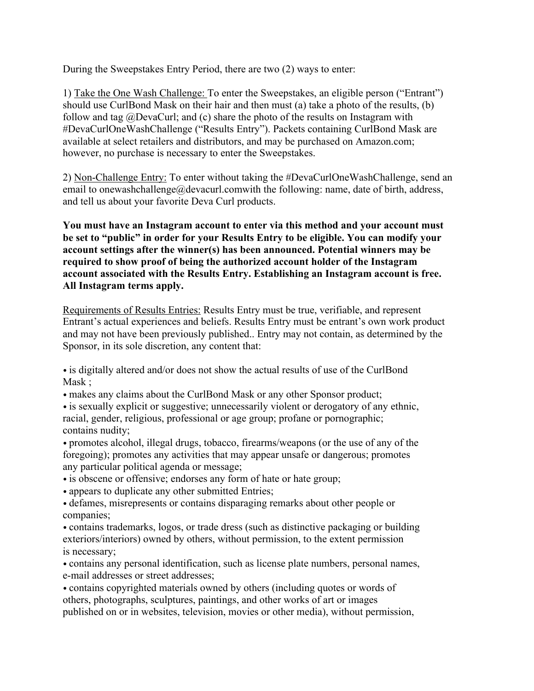During the Sweepstakes Entry Period, there are two (2) ways to enter:

1) Take the One Wash Challenge: To enter the Sweepstakes, an eligible person ("Entrant") should use CurlBond Mask on their hair and then must (a) take a photo of the results, (b) follow and tag @DevaCurl; and (c) share the photo of the results on Instagram with #DevaCurlOneWashChallenge ("Results Entry"). Packets containing CurlBond Mask are available at select retailers and distributors, and may be purchased on Amazon.com; however, no purchase is necessary to enter the Sweepstakes.

2) Non-Challenge Entry: To enter without taking the #DevaCurlOneWashChallenge, send an email to onewashchallenge@devacurl.comwith the following: name, date of birth, address, and tell us about your favorite Deva Curl products.

**You must have an Instagram account to enter via this method and your account must be set to "public" in order for your Results Entry to be eligible. You can modify your account settings after the winner(s) has been announced. Potential winners may be required to show proof of being the authorized account holder of the Instagram account associated with the Results Entry. Establishing an Instagram account is free. All Instagram terms apply.**

Requirements of Results Entries: Results Entry must be true, verifiable, and represent Entrant's actual experiences and beliefs. Results Entry must be entrant's own work product and may not have been previously published.. Entry may not contain, as determined by the Sponsor, in its sole discretion, any content that:

• is digitally altered and/or does not show the actual results of use of the CurlBond Mask ;

• makes any claims about the CurlBond Mask or any other Sponsor product;

• is sexually explicit or suggestive; unnecessarily violent or derogatory of any ethnic, racial, gender, religious, professional or age group; profane or pornographic; contains nudity;

• promotes alcohol, illegal drugs, tobacco, firearms/weapons (or the use of any of the foregoing); promotes any activities that may appear unsafe or dangerous; promotes any particular political agenda or message;

- is obscene or offensive; endorses any form of hate or hate group;
- appears to duplicate any other submitted Entries;
- defames, misrepresents or contains disparaging remarks about other people or companies;

• contains trademarks, logos, or trade dress (such as distinctive packaging or building exteriors/interiors) owned by others, without permission, to the extent permission is necessary;

• contains any personal identification, such as license plate numbers, personal names, e-mail addresses or street addresses;

• contains copyrighted materials owned by others (including quotes or words of others, photographs, sculptures, paintings, and other works of art or images published on or in websites, television, movies or other media), without permission,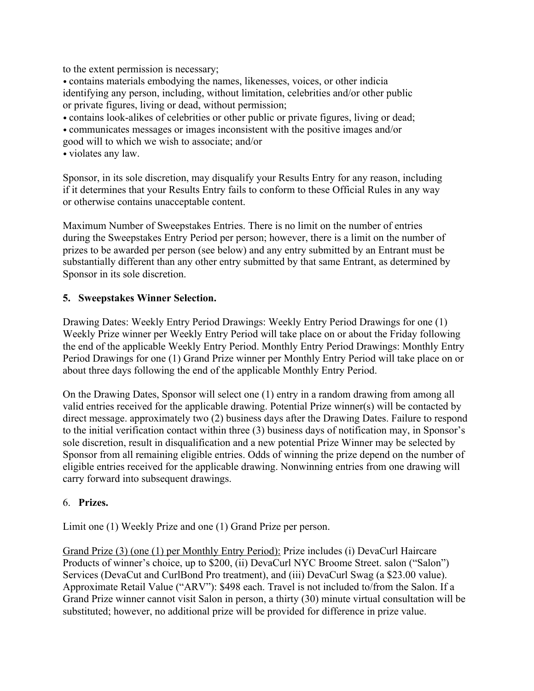to the extent permission is necessary;

• contains materials embodying the names, likenesses, voices, or other indicia identifying any person, including, without limitation, celebrities and/or other public or private figures, living or dead, without permission;

• contains look-alikes of celebrities or other public or private figures, living or dead;

• communicates messages or images inconsistent with the positive images and/or

good will to which we wish to associate; and/or

• violates any law.

Sponsor, in its sole discretion, may disqualify your Results Entry for any reason, including if it determines that your Results Entry fails to conform to these Official Rules in any way or otherwise contains unacceptable content.

Maximum Number of Sweepstakes Entries. There is no limit on the number of entries during the Sweepstakes Entry Period per person; however, there is a limit on the number of prizes to be awarded per person (see below) and any entry submitted by an Entrant must be substantially different than any other entry submitted by that same Entrant, as determined by Sponsor in its sole discretion.

## **5. Sweepstakes Winner Selection.**

Drawing Dates: Weekly Entry Period Drawings: Weekly Entry Period Drawings for one (1) Weekly Prize winner per Weekly Entry Period will take place on or about the Friday following the end of the applicable Weekly Entry Period. Monthly Entry Period Drawings: Monthly Entry Period Drawings for one (1) Grand Prize winner per Monthly Entry Period will take place on or about three days following the end of the applicable Monthly Entry Period.

On the Drawing Dates, Sponsor will select one (1) entry in a random drawing from among all valid entries received for the applicable drawing. Potential Prize winner(s) will be contacted by direct message. approximately two (2) business days after the Drawing Dates. Failure to respond to the initial verification contact within three (3) business days of notification may, in Sponsor's sole discretion, result in disqualification and a new potential Prize Winner may be selected by Sponsor from all remaining eligible entries. Odds of winning the prize depend on the number of eligible entries received for the applicable drawing. Nonwinning entries from one drawing will carry forward into subsequent drawings.

### 6. **Prizes.**

Limit one (1) Weekly Prize and one (1) Grand Prize per person.

Grand Prize (3) (one (1) per Monthly Entry Period): Prize includes (i) DevaCurl Haircare Products of winner's choice, up to \$200, (ii) DevaCurl NYC Broome Street. salon ("Salon") Services (DevaCut and CurlBond Pro treatment), and (iii) DevaCurl Swag (a \$23.00 value). Approximate Retail Value ("ARV"): \$498 each. Travel is not included to/from the Salon. If a Grand Prize winner cannot visit Salon in person, a thirty (30) minute virtual consultation will be substituted; however, no additional prize will be provided for difference in prize value.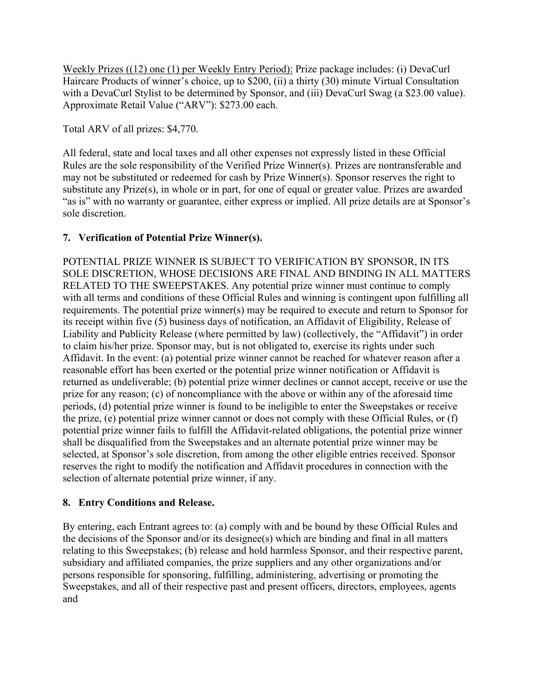Weekly Prizes ((12) one (1) per Weekly Entry Period): Prize package includes: (i) DevaCurl Haircare Products of winner's choice, up to \$200, (ii) a thirty (30) minute Virtual Consultation with a DevaCurl Stylist to be determined by Sponsor, and (iii) DevaCurl Swag (a \$23.00 value). Approximate Retail Value ("ARV"): \$273.00 each.

Total ARV of all prizes: \$4,770.

All federal, state and local taxes and all other expenses not expressly listed in these Official Rules are the sole responsibility of the Verified Prize Winner(s). Prizes are nontransferable and may not be substituted or redeemed for cash by Prize Winner(s). Sponsor reserves the right to substitute any Prize(s), in whole or in part, for one of equal or greater value. Prizes are awarded "as is" with no warranty or guarantee, either express or implied. All prize details are at Sponsor's sole discretion.

# **7. Verification of Potential Prize Winner(s).**

POTENTIAL PRIZE WINNER IS SUBJECT TO VERIFICATION BY SPONSOR, IN ITS SOLE DISCRETION, WHOSE DECISIONS ARE FINAL AND BINDING IN ALL MATTERS RELATED TO THE SWEEPSTAKES. Any potential prize winner must continue to comply with all terms and conditions of these Official Rules and winning is contingent upon fulfilling all requirements. The potential prize winner(s) may be required to execute and return to Sponsor for its receipt within five (5) business days of notification, an Affidavit of Eligibility, Release of Liability and Publicity Release (where permitted by law) (collectively, the "Affidavit") in order to claim his/her prize. Sponsor may, but is not obligated to, exercise its rights under such Affidavit. In the event: (a) potential prize winner cannot be reached for whatever reason after a reasonable effort has been exerted or the potential prize winner notification or Affidavit is returned as undeliverable; (b) potential prize winner declines or cannot accept, receive or use the prize for any reason; (c) of noncompliance with the above or within any of the aforesaid time periods, (d) potential prize winner is found to be ineligible to enter the Sweepstakes or receive the prize, (e) potential prize winner cannot or does not comply with these Official Rules, or (f) potential prize winner fails to fulfill the Affidavit-related obligations, the potential prize winner shall be disqualified from the Sweepstakes and an alternate potential prize winner may be selected, at Sponsor's sole discretion, from among the other eligible entries received. Sponsor reserves the right to modify the notification and Affidavit procedures in connection with the selection of alternate potential prize winner, if any.

# **8. Entry Conditions and Release.**

By entering, each Entrant agrees to: (a) comply with and be bound by these Official Rules and the decisions of the Sponsor and/or its designee(s) which are binding and final in all matters relating to this Sweepstakes; (b) release and hold harmless Sponsor, and their respective parent, subsidiary and affiliated companies, the prize suppliers and any other organizations and/or persons responsible for sponsoring, fulfilling, administering, advertising or promoting the Sweepstakes, and all of their respective past and present officers, directors, employees, agents and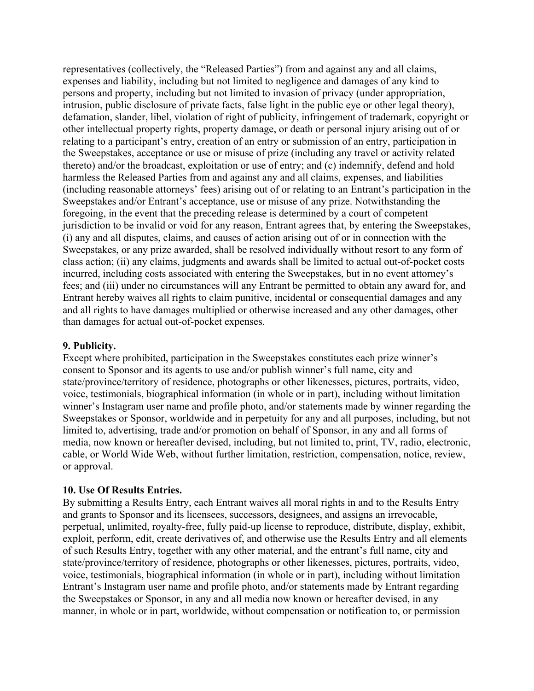representatives (collectively, the "Released Parties") from and against any and all claims, expenses and liability, including but not limited to negligence and damages of any kind to persons and property, including but not limited to invasion of privacy (under appropriation, intrusion, public disclosure of private facts, false light in the public eye or other legal theory), defamation, slander, libel, violation of right of publicity, infringement of trademark, copyright or other intellectual property rights, property damage, or death or personal injury arising out of or relating to a participant's entry, creation of an entry or submission of an entry, participation in the Sweepstakes, acceptance or use or misuse of prize (including any travel or activity related thereto) and/or the broadcast, exploitation or use of entry; and (c) indemnify, defend and hold harmless the Released Parties from and against any and all claims, expenses, and liabilities (including reasonable attorneys' fees) arising out of or relating to an Entrant's participation in the Sweepstakes and/or Entrant's acceptance, use or misuse of any prize. Notwithstanding the foregoing, in the event that the preceding release is determined by a court of competent jurisdiction to be invalid or void for any reason, Entrant agrees that, by entering the Sweepstakes, (i) any and all disputes, claims, and causes of action arising out of or in connection with the Sweepstakes, or any prize awarded, shall be resolved individually without resort to any form of class action; (ii) any claims, judgments and awards shall be limited to actual out-of-pocket costs incurred, including costs associated with entering the Sweepstakes, but in no event attorney's fees; and (iii) under no circumstances will any Entrant be permitted to obtain any award for, and Entrant hereby waives all rights to claim punitive, incidental or consequential damages and any and all rights to have damages multiplied or otherwise increased and any other damages, other than damages for actual out-of-pocket expenses.

### **9. Publicity.**

Except where prohibited, participation in the Sweepstakes constitutes each prize winner's consent to Sponsor and its agents to use and/or publish winner's full name, city and state/province/territory of residence, photographs or other likenesses, pictures, portraits, video, voice, testimonials, biographical information (in whole or in part), including without limitation winner's Instagram user name and profile photo, and/or statements made by winner regarding the Sweepstakes or Sponsor, worldwide and in perpetuity for any and all purposes, including, but not limited to, advertising, trade and/or promotion on behalf of Sponsor, in any and all forms of media, now known or hereafter devised, including, but not limited to, print, TV, radio, electronic, cable, or World Wide Web, without further limitation, restriction, compensation, notice, review, or approval.

### **10. Use Of Results Entries.**

By submitting a Results Entry, each Entrant waives all moral rights in and to the Results Entry and grants to Sponsor and its licensees, successors, designees, and assigns an irrevocable, perpetual, unlimited, royalty-free, fully paid-up license to reproduce, distribute, display, exhibit, exploit, perform, edit, create derivatives of, and otherwise use the Results Entry and all elements of such Results Entry, together with any other material, and the entrant's full name, city and state/province/territory of residence, photographs or other likenesses, pictures, portraits, video, voice, testimonials, biographical information (in whole or in part), including without limitation Entrant's Instagram user name and profile photo, and/or statements made by Entrant regarding the Sweepstakes or Sponsor, in any and all media now known or hereafter devised, in any manner, in whole or in part, worldwide, without compensation or notification to, or permission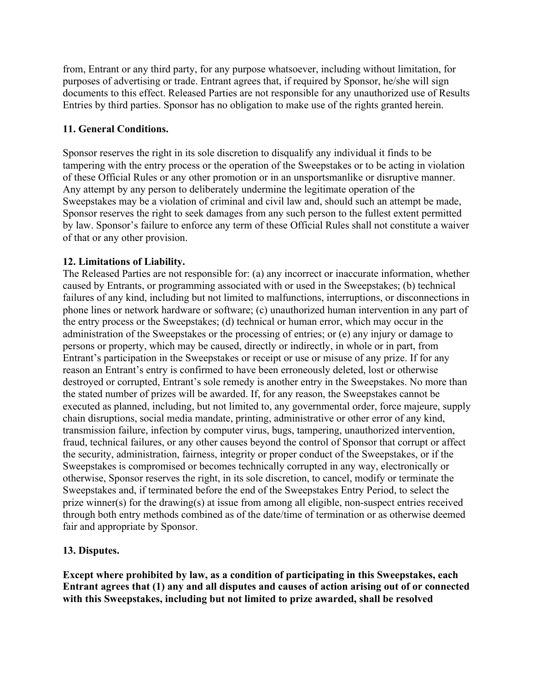from, Entrant or any third party, for any purpose whatsoever, including without limitation, for purposes of advertising or trade. Entrant agrees that, if required by Sponsor, he/she will sign documents to this effect. Released Parties are not responsible for any unauthorized use of Results Entries by third parties. Sponsor has no obligation to make use of the rights granted herein.

# **11. General Conditions.**

Sponsor reserves the right in its sole discretion to disqualify any individual it finds to be tampering with the entry process or the operation of the Sweepstakes or to be acting in violation of these Official Rules or any other promotion or in an unsportsmanlike or disruptive manner. Any attempt by any person to deliberately undermine the legitimate operation of the Sweepstakes may be a violation of criminal and civil law and, should such an attempt be made, Sponsor reserves the right to seek damages from any such person to the fullest extent permitted by law. Sponsor's failure to enforce any term of these Official Rules shall not constitute a waiver of that or any other provision.

# **12. Limitations of Liability.**

The Released Parties are not responsible for: (a) any incorrect or inaccurate information, whether caused by Entrants, or programming associated with or used in the Sweepstakes; (b) technical failures of any kind, including but not limited to malfunctions, interruptions, or disconnections in phone lines or network hardware or software; (c) unauthorized human intervention in any part of the entry process or the Sweepstakes; (d) technical or human error, which may occur in the administration of the Sweepstakes or the processing of entries; or (e) any injury or damage to persons or property, which may be caused, directly or indirectly, in whole or in part, from Entrant's participation in the Sweepstakes or receipt or use or misuse of any prize. If for any reason an Entrant's entry is confirmed to have been erroneously deleted, lost or otherwise destroyed or corrupted, Entrant's sole remedy is another entry in the Sweepstakes. No more than the stated number of prizes will be awarded. If, for any reason, the Sweepstakes cannot be executed as planned, including, but not limited to, any governmental order, force majeure, supply chain disruptions, social media mandate, printing, administrative or other error of any kind, transmission failure, infection by computer virus, bugs, tampering, unauthorized intervention, fraud, technical failures, or any other causes beyond the control of Sponsor that corrupt or affect the security, administration, fairness, integrity or proper conduct of the Sweepstakes, or if the Sweepstakes is compromised or becomes technically corrupted in any way, electronically or otherwise, Sponsor reserves the right, in its sole discretion, to cancel, modify or terminate the Sweepstakes and, if terminated before the end of the Sweepstakes Entry Period, to select the prize winner(s) for the drawing(s) at issue from among all eligible, non-suspect entries received through both entry methods combined as of the date/time of termination or as otherwise deemed fair and appropriate by Sponsor.

# **13. Disputes.**

**Except where prohibited by law, as a condition of participating in this Sweepstakes, each Entrant agrees that (1) any and all disputes and causes of action arising out of or connected with this Sweepstakes, including but not limited to prize awarded, shall be resolved**